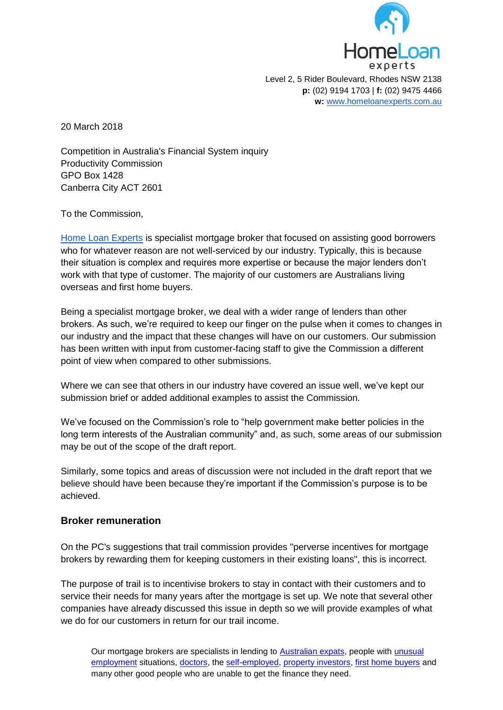

20 March 2018

Competition in Australia's Financial System inquiry Productivity Commission GPO Box 1428 Canberra City ACT 2601

To the Commission,

[Home Loan Experts](https://www.homeloanexperts.com.au/about_us/) is specialist mortgage broker that focused on assisting good borrowers who for whatever reason are not well-serviced by our industry. Typically, this is because their situation is complex and requires more expertise or because the major lenders don't work with that type of customer. The majority of our customers are Australians living overseas and first home buyers.

Being a specialist mortgage broker, we deal with a wider range of lenders than other brokers. As such, we're required to keep our finger on the pulse when it comes to changes in our industry and the impact that these changes will have on our customers. Our submission has been written with input from customer-facing staff to give the Commission a different point of view when compared to other submissions.

Where we can see that others in our industry have covered an issue well, we've kept our submission brief or added additional examples to assist the Commission.

We've focused on the Commission's role to "help government make better policies in the long term interests of the Australian community" and, as such, some areas of our submission may be out of the scope of the draft report.

Similarly, some topics and areas of discussion were not included in the draft report that we believe should have been because they're important if the Commission's purpose is to be achieved.

## **Broker remuneration**

On the PC's suggestions that trail commission provides "perverse incentives for mortgage brokers by rewarding them for keeping customers in their existing loans", this is incorrect.

The purpose of trail is to incentivise brokers to stay in contact with their customers and to service their needs for many years after the mortgage is set up. We note that several other companies have already discussed this issue in depth so we will provide examples of what we do for our customers in return for our trail income.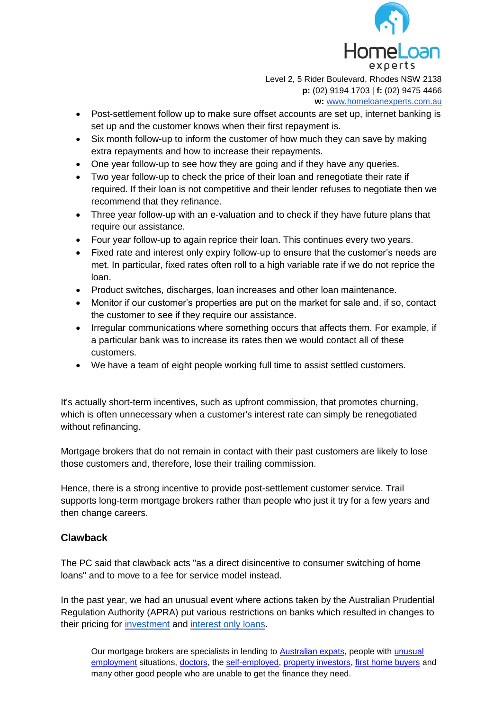

- Post-settlement follow up to make sure offset accounts are set up, internet banking is set up and the customer knows when their first repayment is.
- Six month follow-up to inform the customer of how much they can save by making extra repayments and how to increase their repayments.
- One year follow-up to see how they are going and if they have any queries.
- Two year follow-up to check the price of their loan and renegotiate their rate if required. If their loan is not competitive and their lender refuses to negotiate then we recommend that they refinance.
- Three year follow-up with an e-valuation and to check if they have future plans that require our assistance.
- Four year follow-up to again reprice their loan. This continues every two years.
- Fixed rate and interest only expiry follow-up to ensure that the customer's needs are met. In particular, fixed rates often roll to a high variable rate if we do not reprice the loan.
- Product switches, discharges, loan increases and other loan maintenance.
- Monitor if our customer's properties are put on the market for sale and, if so, contact the customer to see if they require our assistance.
- Irregular communications where something occurs that affects them. For example, if a particular bank was to increase its rates then we would contact all of these customers.
- We have a team of eight people working full time to assist settled customers.

It's actually short-term incentives, such as upfront commission, that promotes churning, which is often unnecessary when a customer's interest rate can simply be renegotiated without refinancing.

Mortgage brokers that do not remain in contact with their past customers are likely to lose those customers and, therefore, lose their trailing commission.

Hence, there is a strong incentive to provide post-settlement customer service. Trail supports long-term mortgage brokers rather than people who just it try for a few years and then change careers.

## **Clawback**

The PC said that clawback acts "as a direct disincentive to consumer switching of home loans" and to move to a fee for service model instead.

In the past year, we had an unusual event where actions taken by the Australian Prudential Regulation Authority (APRA) put various restrictions on banks which resulted in changes to their pricing for [investment](http://www.homeloanexperts.com.au/investment-loans/) and [interest only loans.](https://www.homeloanexperts.com.au/interest-only-home-loans/)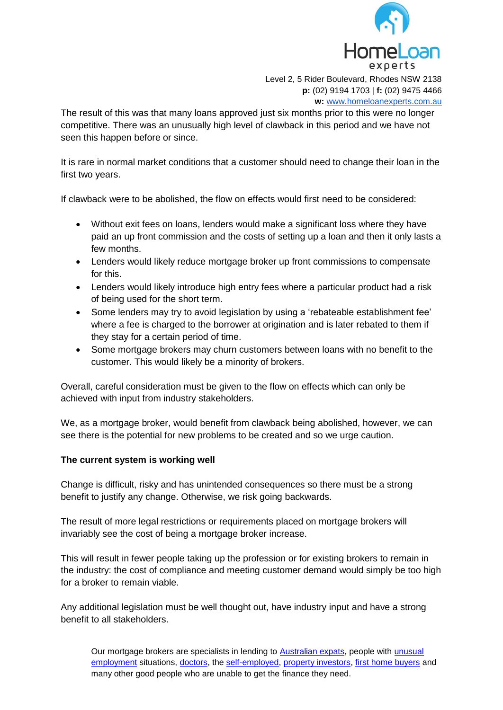

The result of this was that many loans approved just six months prior to this were no longer competitive. There was an unusually high level of clawback in this period and we have not seen this happen before or since.

It is rare in normal market conditions that a customer should need to change their loan in the first two years.

If clawback were to be abolished, the flow on effects would first need to be considered:

- Without exit fees on loans, lenders would make a significant loss where they have paid an up front commission and the costs of setting up a loan and then it only lasts a few months.
- Lenders would likely reduce mortgage broker up front commissions to compensate for this.
- Lenders would likely introduce high entry fees where a particular product had a risk of being used for the short term.
- Some lenders may try to avoid legislation by using a 'rebateable establishment fee' where a fee is charged to the borrower at origination and is later rebated to them if they stay for a certain period of time.
- Some mortgage brokers may churn customers between loans with no benefit to the customer. This would likely be a minority of brokers.

Overall, careful consideration must be given to the flow on effects which can only be achieved with input from industry stakeholders.

We, as a mortgage broker, would benefit from clawback being abolished, however, we can see there is the potential for new problems to be created and so we urge caution.

## **The current system is working well**

Change is difficult, risky and has unintended consequences so there must be a strong benefit to justify any change. Otherwise, we risk going backwards.

The result of more legal restrictions or requirements placed on mortgage brokers will invariably see the cost of being a mortgage broker increase.

This will result in fewer people taking up the profession or for existing brokers to remain in the industry: the cost of compliance and meeting customer demand would simply be too high for a broker to remain viable.

Any additional legislation must be well thought out, have industry input and have a strong benefit to all stakeholders.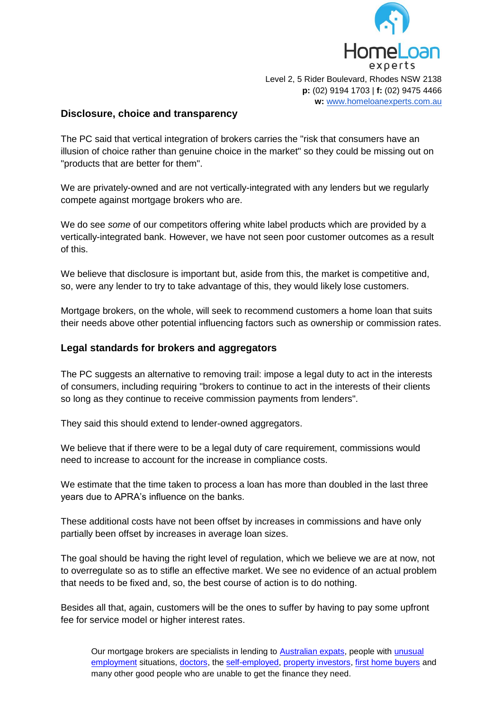

#### **Disclosure, choice and transparency**

The PC said that vertical integration of brokers carries the "risk that consumers have an illusion of choice rather than genuine choice in the market" so they could be missing out on "products that are better for them".

We are privately-owned and are not vertically-integrated with any lenders but we regularly compete against mortgage brokers who are.

We do see *some* of our competitors offering white label products which are provided by a vertically-integrated bank. However, we have not seen poor customer outcomes as a result of this.

We believe that disclosure is important but, aside from this, the market is competitive and, so, were any lender to try to take advantage of this, they would likely lose customers.

Mortgage brokers, on the whole, will seek to recommend customers a home loan that suits their needs above other potential influencing factors such as ownership or commission rates.

#### **Legal standards for brokers and aggregators**

The PC suggests an alternative to removing trail: impose a legal duty to act in the interests of consumers, including requiring "brokers to continue to act in the interests of their clients so long as they continue to receive commission payments from lenders".

They said this should extend to lender-owned aggregators.

We believe that if there were to be a legal duty of care requirement, commissions would need to increase to account for the increase in compliance costs.

We estimate that the time taken to process a loan has more than doubled in the last three years due to APRA's influence on the banks.

These additional costs have not been offset by increases in commissions and have only partially been offset by increases in average loan sizes.

The goal should be having the right level of regulation, which we believe we are at now, not to overregulate so as to stifle an effective market. We see no evidence of an actual problem that needs to be fixed and, so, the best course of action is to do nothing.

Besides all that, again, customers will be the ones to suffer by having to pay some upfront fee for service model or higher interest rates.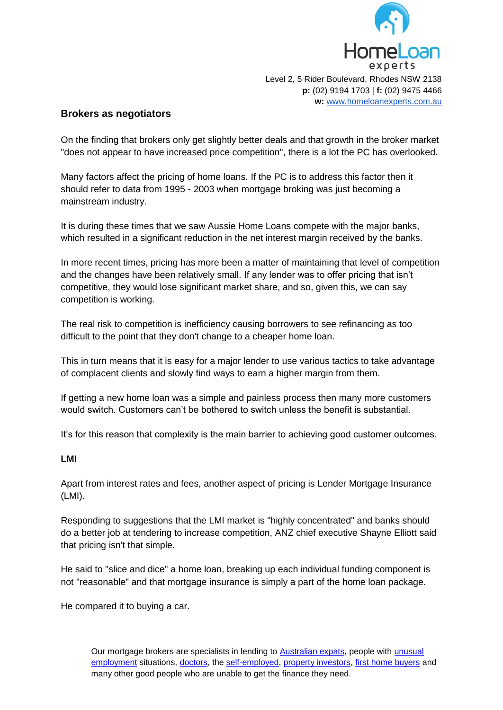

## **Brokers as negotiators**

On the finding that brokers only get slightly better deals and that growth in the broker market "does not appear to have increased price competition", there is a lot the PC has overlooked.

Many factors affect the pricing of home loans. If the PC is to address this factor then it should refer to data from 1995 - 2003 when mortgage broking was just becoming a mainstream industry.

It is during these times that we saw Aussie Home Loans compete with the major banks, which resulted in a significant reduction in the net interest margin received by the banks.

In more recent times, pricing has more been a matter of maintaining that level of competition and the changes have been relatively small. If any lender was to offer pricing that isn't competitive, they would lose significant market share, and so, given this, we can say competition is working.

The real risk to competition is inefficiency causing borrowers to see refinancing as too difficult to the point that they don't change to a cheaper home loan.

This in turn means that it is easy for a major lender to use various tactics to take advantage of complacent clients and slowly find ways to earn a higher margin from them.

If getting a new home loan was a simple and painless process then many more customers would switch. Customers can't be bothered to switch unless the benefit is substantial.

It's for this reason that complexity is the main barrier to achieving good customer outcomes.

#### **LMI**

Apart from interest rates and fees, another aspect of pricing is Lender Mortgage Insurance (LMI).

Responding to suggestions that the LMI market is "highly concentrated" and banks should do a better job at tendering to increase competition, ANZ chief executive Shayne Elliott said that pricing isn't that simple.

He said to "slice and dice" a home loan, breaking up each individual funding component is not "reasonable" and that mortgage insurance is simply a part of the home loan package.

He compared it to buying a car.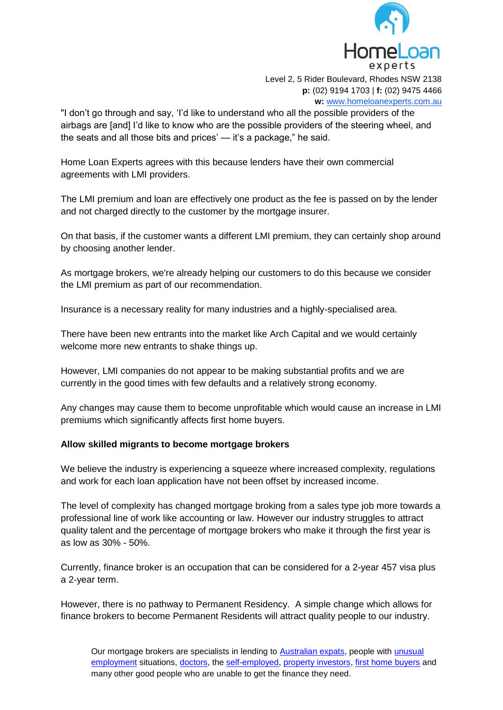

"I don't go through and say, 'I'd like to understand who all the possible providers of the airbags are [and] I'd like to know who are the possible providers of the steering wheel, and the seats and all those bits and prices' — it's a package," he said.

Home Loan Experts agrees with this because lenders have their own commercial agreements with LMI providers.

The LMI premium and loan are effectively one product as the fee is passed on by the lender and not charged directly to the customer by the mortgage insurer.

On that basis, if the customer wants a different LMI premium, they can certainly shop around by choosing another lender.

As mortgage brokers, we're already helping our customers to do this because we consider the LMI premium as part of our recommendation.

Insurance is a necessary reality for many industries and a highly-specialised area.

There have been new entrants into the market like Arch Capital and we would certainly welcome more new entrants to shake things up.

However, LMI companies do not appear to be making substantial profits and we are currently in the good times with few defaults and a relatively strong economy.

Any changes may cause them to become unprofitable which would cause an increase in LMI premiums which significantly affects first home buyers.

#### **Allow skilled migrants to become mortgage brokers**

We believe the industry is experiencing a squeeze where increased complexity, regulations and work for each loan application have not been offset by increased income.

The level of complexity has changed mortgage broking from a sales type job more towards a professional line of work like accounting or law. However our industry struggles to attract quality talent and the percentage of mortgage brokers who make it through the first year is as low as 30% - 50%.

Currently, finance broker is an occupation that can be considered for a 2-year 457 visa plus a 2-year term.

However, there is no pathway to Permanent Residency. A simple change which allows for finance brokers to become Permanent Residents will attract quality people to our industry.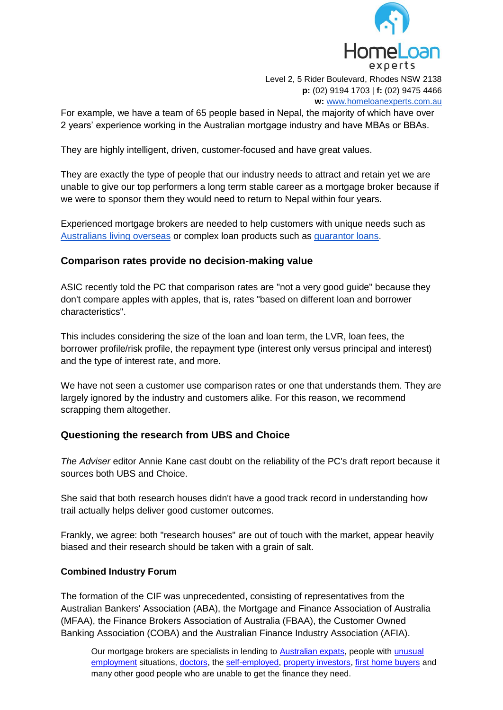

For example, we have a team of 65 people based in Nepal, the majority of which have over 2 years' experience working in the Australian mortgage industry and have MBAs or BBAs.

They are highly intelligent, driven, customer-focused and have great values.

They are exactly the type of people that our industry needs to attract and retain yet we are unable to give our top performers a long term stable career as a mortgage broker because if we were to sponsor them they would need to return to Nepal within four years.

Experienced mortgage brokers are needed to help customers with unique needs such as [Australians living overseas](https://www.homeloanexperts.com.au/australian-expat-home-loans/) or complex loan products such as [guarantor loans.](https://www.homeloanexperts.com.au/guarantor-home-loans-new/)

# **Comparison rates provide no decision-making value**

ASIC recently told the PC that comparison rates are "not a very good guide" because they don't compare apples with apples, that is, rates "based on different loan and borrower characteristics".

This includes considering the size of the loan and loan term, the LVR, loan fees, the borrower profile/risk profile, the repayment type (interest only versus principal and interest) and the type of interest rate, and more.

We have not seen a customer use comparison rates or one that understands them. They are largely ignored by the industry and customers alike. For this reason, we recommend scrapping them altogether.

# **Questioning the research from UBS and Choice**

*The Adviser* editor Annie Kane cast doubt on the reliability of the PC's draft report because it sources both UBS and Choice.

She said that both research houses didn't have a good track record in understanding how trail actually helps deliver good customer outcomes.

Frankly, we agree: both "research houses" are out of touch with the market, appear heavily biased and their research should be taken with a grain of salt.

## **Combined Industry Forum**

The formation of the CIF was unprecedented, consisting of representatives from the Australian Bankers' Association (ABA), the Mortgage and Finance Association of Australia (MFAA), the Finance Brokers Association of Australia (FBAA), the Customer Owned Banking Association (COBA) and the Australian Finance Industry Association (AFIA).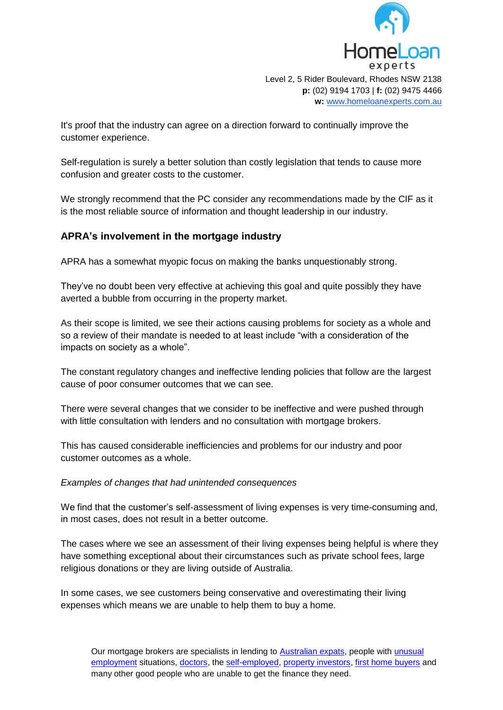

It's proof that the industry can agree on a direction forward to continually improve the customer experience.

Self-regulation is surely a better solution than costly legislation that tends to cause more confusion and greater costs to the customer.

We strongly recommend that the PC consider any recommendations made by the CIF as it is the most reliable source of information and thought leadership in our industry.

## **APRA's involvement in the mortgage industry**

APRA has a somewhat myopic focus on making the banks unquestionably strong.

They've no doubt been very effective at achieving this goal and quite possibly they have averted a bubble from occurring in the property market.

As their scope is limited, we see their actions causing problems for society as a whole and so a review of their mandate is needed to at least include "with a consideration of the impacts on society as a whole".

The constant regulatory changes and ineffective lending policies that follow are the largest cause of poor consumer outcomes that we can see.

There were several changes that we consider to be ineffective and were pushed through with little consultation with lenders and no consultation with mortgage brokers.

This has caused considerable inefficiencies and problems for our industry and poor customer outcomes as a whole.

#### *Examples of changes that had unintended consequences*

We find that the customer's self-assessment of living expenses is very time-consuming and, in most cases, does not result in a better outcome.

The cases where we see an assessment of their living expenses being helpful is where they have something exceptional about their circumstances such as private school fees, large religious donations or they are living outside of Australia.

In some cases, we see customers being conservative and overestimating their living expenses which means we are unable to help them to buy a home.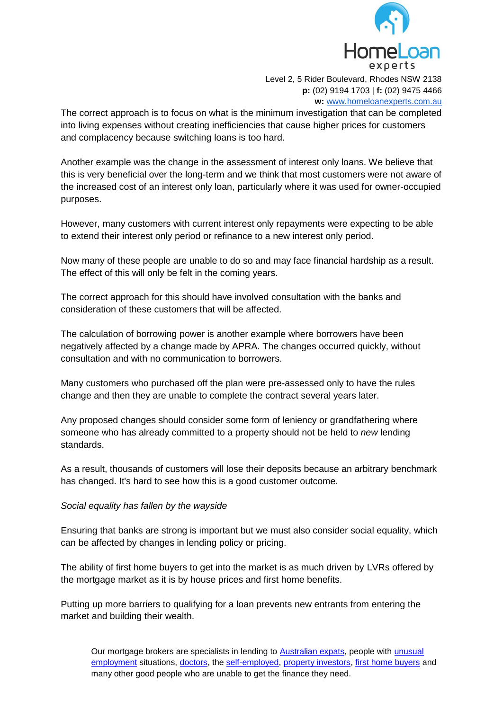

The correct approach is to focus on what is the minimum investigation that can be completed into living expenses without creating inefficiencies that cause higher prices for customers and complacency because switching loans is too hard.

Another example was the change in the assessment of interest only loans. We believe that this is very beneficial over the long-term and we think that most customers were not aware of the increased cost of an interest only loan, particularly where it was used for owner-occupied purposes.

However, many customers with current interest only repayments were expecting to be able to extend their interest only period or refinance to a new interest only period.

Now many of these people are unable to do so and may face financial hardship as a result. The effect of this will only be felt in the coming years.

The correct approach for this should have involved consultation with the banks and consideration of these customers that will be affected.

The calculation of borrowing power is another example where borrowers have been negatively affected by a change made by APRA. The changes occurred quickly, without consultation and with no communication to borrowers.

Many customers who purchased off the plan were pre-assessed only to have the rules change and then they are unable to complete the contract several years later.

Any proposed changes should consider some form of leniency or grandfathering where someone who has already committed to a property should not be held to *new* lending standards.

As a result, thousands of customers will lose their deposits because an arbitrary benchmark has changed. It's hard to see how this is a good customer outcome.

#### *Social equality has fallen by the wayside*

Ensuring that banks are strong is important but we must also consider social equality, which can be affected by changes in lending policy or pricing.

The ability of first home buyers to get into the market is as much driven by LVRs offered by the mortgage market as it is by house prices and first home benefits.

Putting up more barriers to qualifying for a loan prevents new entrants from entering the market and building their wealth.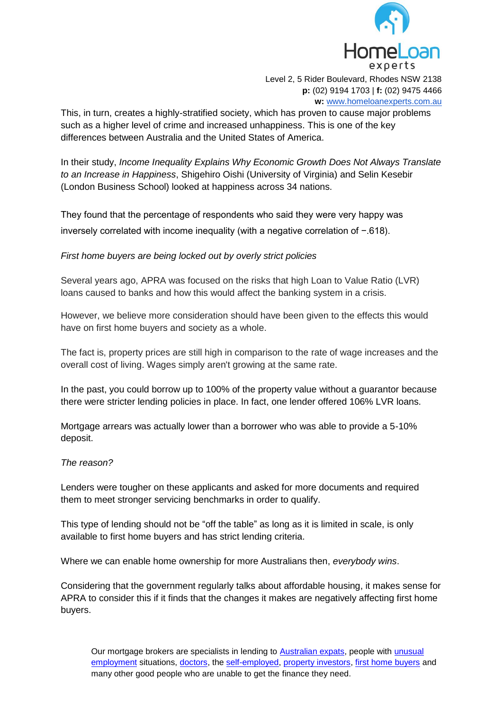

**p:** (02) 9194 1703 | **f:** (02) 9475 4466 **w:** [www.homeloanexperts.com.au](http://www.homeloanexperts.com.au/)

This, in turn, creates a highly-stratified society, which has proven to cause major problems such as a higher level of crime and increased unhappiness. This is one of the key differences between Australia and the United States of America.

In their study, *Income Inequality Explains Why Economic Growth Does Not Always Translate to an Increase in Happiness*, Shigehiro Oishi (University of Virginia) and Selin Kesebir (London Business School) looked at happiness across 34 nations.

They found that the percentage of respondents who said they were very happy was inversely correlated with income inequality (with a negative correlation of −.618).

*First home buyers are being locked out by overly strict policies*

Several years ago, APRA was focused on the risks that high Loan to Value Ratio (LVR) loans caused to banks and how this would affect the banking system in a crisis.

However, we believe more consideration should have been given to the effects this would have on first home buyers and society as a whole.

The fact is, property prices are still high in comparison to the rate of wage increases and the overall cost of living. Wages simply aren't growing at the same rate.

In the past, you could borrow up to 100% of the property value without a guarantor because there were stricter lending policies in place. In fact, one lender offered 106% LVR loans.

Mortgage arrears was actually lower than a borrower who was able to provide a 5-10% deposit.

#### *The reason?*

Lenders were tougher on these applicants and asked for more documents and required them to meet stronger servicing benchmarks in order to qualify.

This type of lending should not be "off the table" as long as it is limited in scale, is only available to first home buyers and has strict lending criteria.

Where we can enable home ownership for more Australians then, *everybody wins*.

Considering that the government regularly talks about affordable housing, it makes sense for APRA to consider this if it finds that the changes it makes are negatively affecting first home buyers.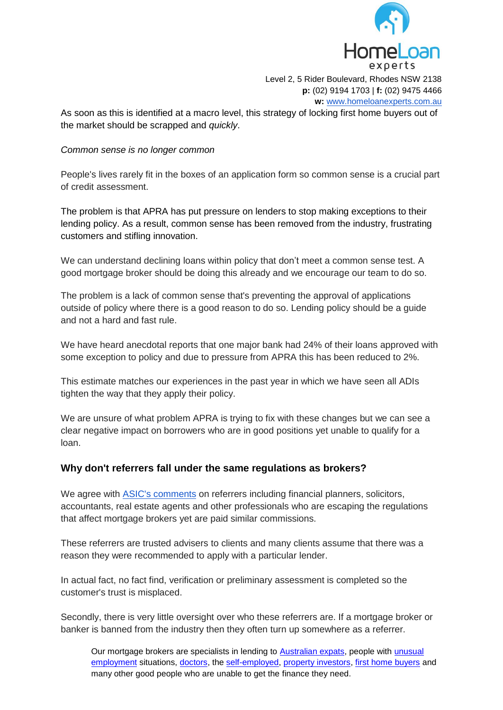

As soon as this is identified at a macro level, this strategy of locking first home buyers out of the market should be scrapped and *quickly*.

#### *Common sense is no longer common*

People's lives rarely fit in the boxes of an application form so common sense is a crucial part of credit assessment.

The problem is that APRA has put pressure on lenders to stop making exceptions to their lending policy. As a result, common sense has been removed from the industry, frustrating customers and stifling innovation.

We can understand declining loans within policy that don't meet a common sense test. A good mortgage broker should be doing this already and we encourage our team to do so.

The problem is a lack of common sense that's preventing the approval of applications outside of policy where there is a good reason to do so. Lending policy should be a guide and not a hard and fast rule.

We have heard anecdotal reports that one major bank had 24% of their loans approved with some exception to policy and due to pressure from APRA this has been reduced to 2%.

This estimate matches our experiences in the past year in which we have seen all ADIs tighten the way that they apply their policy.

We are unsure of what problem APRA is trying to fix with these changes but we can see a clear negative impact on borrowers who are in good positions yet unable to qualify for a loan.

## **Why don't referrers fall under the same regulations as brokers?**

We agree with [ASIC's comments](https://www.theadviser.com.au/breaking-news/37487-asic-highlights-burgeoning-referrer-market?utm_source=TheAdviser&utm_campaign=07_03_18&utm_medium=email&utm_content=1) on referrers including financial planners, solicitors, accountants, real estate agents and other professionals who are escaping the regulations that affect mortgage brokers yet are paid similar commissions.

These referrers are trusted advisers to clients and many clients assume that there was a reason they were recommended to apply with a particular lender.

In actual fact, no fact find, verification or preliminary assessment is completed so the customer's trust is misplaced.

Secondly, there is very little oversight over who these referrers are. If a mortgage broker or banker is banned from the industry then they often turn up somewhere as a referrer.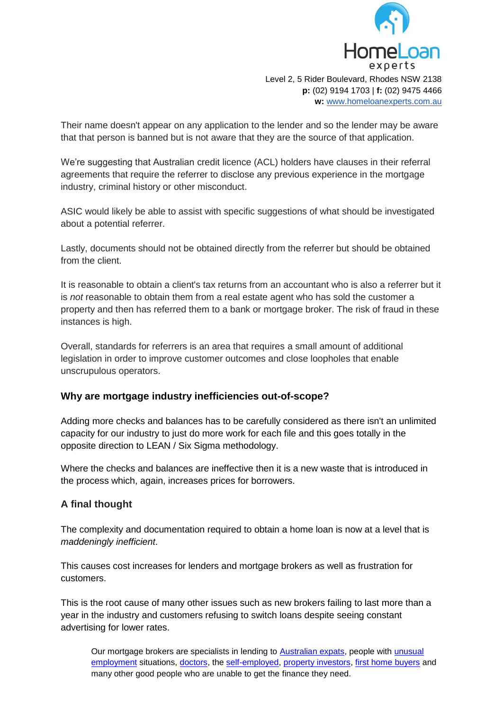

Their name doesn't appear on any application to the lender and so the lender may be aware that that person is banned but is not aware that they are the source of that application.

We're suggesting that Australian credit licence (ACL) holders have clauses in their referral agreements that require the referrer to disclose any previous experience in the mortgage industry, criminal history or other misconduct.

ASIC would likely be able to assist with specific suggestions of what should be investigated about a potential referrer.

Lastly, documents should not be obtained directly from the referrer but should be obtained from the client.

It is reasonable to obtain a client's tax returns from an accountant who is also a referrer but it is *not* reasonable to obtain them from a real estate agent who has sold the customer a property and then has referred them to a bank or mortgage broker. The risk of fraud in these instances is high.

Overall, standards for referrers is an area that requires a small amount of additional legislation in order to improve customer outcomes and close loopholes that enable unscrupulous operators.

## **Why are mortgage industry inefficiencies out-of-scope?**

Adding more checks and balances has to be carefully considered as there isn't an unlimited capacity for our industry to just do more work for each file and this goes totally in the opposite direction to LEAN / Six Sigma methodology.

Where the checks and balances are ineffective then it is a new waste that is introduced in the process which, again, increases prices for borrowers.

## **A final thought**

The complexity and documentation required to obtain a home loan is now at a level that is *maddeningly inefficient*.

This causes cost increases for lenders and mortgage brokers as well as frustration for customers.

This is the root cause of many other issues such as new brokers failing to last more than a year in the industry and customers refusing to switch loans despite seeing constant advertising for lower rates.